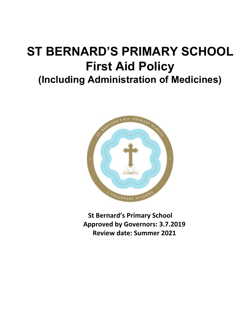# **ST BERNARD'S PRIMARY SCHOOL First Aid Policy (Including Administration of Medicines)**



**St Bernard's Primary School Approved by Governors: 3.7.2019 Review date: Summer 2021**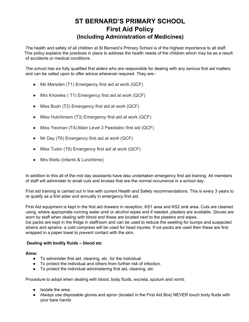### **ST BERNARD'S PRIMARY SCHOOL First Aid Policy (Including Administration of Medicines)**

The health and safety of all children at St Bernard's Primary School is of the highest importance to all staff. This policy explains the practices in place to address the health needs of the children which may be as a result of accidents or medical conditions.

The school has six fully qualified first aiders who are responsible for dealing with any serious first aid matters and can be called upon to offer advice whenever required. They are:-

- Ms Marsden (T1) Emergency first aid at work (QCF)
- Mrs Knowles (T1) Emergency first aid at work (QCF)
- Miss Bush (T2) Emergency first aid at work (QCF)
- Miss Hutchinson (T3) Emergency first aid at work (QCF)
- Miss Yeoman (T4)-Main Level 3 Paediatric first aid (QCF)
- Mr Day (T6) Emergency first aid at work  $(QCF)$
- Miss Tudor (T6) Emergency first aid at work (QCF)
- Mrs Wells (Infants & Lunchtime)

In addition to this all of the mid day assistants have also undertaken emergency first aid training. All members of staff will administer to small cuts and bruises that are the normal occurrence in a school day.

First aid training is carried out in line with current Health and Safety recommendations. This is every 3 years to re qualify as a first aider and annually in emergency first aid.

First Aid equipment is kept in the first aid drawers in reception, KS1 area and KS2 sink area. Cuts are cleaned using, where appropriate running water and/ or alcohol wipes and if needed, plasters are available. Gloves are worn by staff when dealing with blood and these are located next to the plasters and wipes.

Ice packs are kept in the fridge in staffroom and can be used to reduce the swelling for bumps and suspected strains and sprains- a cold compress will be used for head injuries. If ice packs are used then these are first wrapped in a paper towel to prevent contact with the skin.

#### **Dealing with bodily fluids – blood etc**

**Aims:**

- To administer first aid, cleaning, etc, for the individual.
- To protect the individual and others from further risk of infection.
- To protect the individual administering first aid, cleaning, etc

Procedure to adopt when dealing with blood, body fluids, excreta, sputum and vomit:

- Isolate the area.
- Always use disposable gloves and apron (located in the First Aid Box) NEVER touch body fluids with your bare hands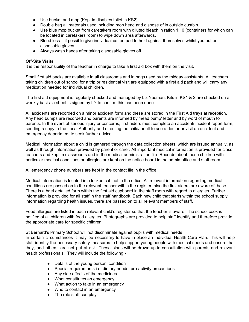- Use bucket and mop (Kept in disables toilet in KS2)
- Double bag all materials used including mop head and dispose of in outside dustbin.
- Use blue mop bucket from caretakers room with diluted bleach in ration 1:10 (containers for which can be located in caretakers room) to wipe down area afterwards.
- Blood loss if possible give individual cotton pad to hold against themselves whilst you put on disposable gloves.
- Always wash hands after taking disposable gloves off.

#### **Off-Site Visits**

It is the responsibility of the teacher in charge to take a first aid box with them on the visit.

Small first aid packs are available in all classrooms and in bags used by the midday assistants. All teachers taking children out of school for a trip or residential visit are equipped with a first aid pack and will carry any medication needed for individual children.

The first aid equipment is regularly checked and managed by Liz Yeoman. Kits in KS1 & 2 are checked on a weekly basis- a sheet is signed by LY to confirm this has been done.

All accidents are recorded on a minor accident form and these are stored in the First Aid trays at reception. Any head bumps are recorded and parents are informed by 'head bump' letter and by word of mouth to parents. In the event of serious injury or concerns, first aiders must complete an accident/ incident report form, sending a copy to the Local Authority and directing the child/ adult to see a doctor or visit an accident and emergency department to seek further advice.

Medical information about a child is gathered through the data collection sheets, which are issued annually, as well as through information provided by parent or carer. All important medical information is provided for class teachers and kept in classrooms and in the medical administration file. Records about those children with particular medical conditions or allergies are kept on the notice board in the admin office and staff room.

All emergency phone numbers are kept in the contact file in the office.

Medical information is located in a locked cabinet in the office. All relevant information regarding medical conditions are passed on to the relevant teacher within the register, also the first aiders are aware of these. There is a brief detailed form within the first aid cupboard in the staff room with regard to allergies. Further information is provided for all staff in the staff handbook. Each new child that starts within the school supply information regarding health issues, there are passed on to all relevant members of staff.

Food allergies are listed in each relevant child's register so that the teacher is aware. The school cook is notified of all children with food allergies. Photographs are provided to help staff identify and therefore provide the appropriate care for specific children.

St Bernard's Primary School will not discriminate against pupils with medical needs

In certain circumstances it may be necessary to have in place an Individual Health Care Plan. This will help staff identify the necessary safety measures to help support young people with medical needs and ensure that they, and others, are not put at risk. These plans will be drawn up in consultation with parents and relevant health professionals. They will include the following:-

- Details of the young person' condition
- Special requirements i.e. dietary needs, pre-activity precautions
- Any side effects of the medicines
- What constitutes an emergency
- What action to take in an emergency
- Who to contact in an emergency
- The role staff can play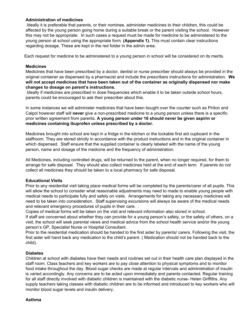#### **Administration of medicines**

 Ideally it is preferable that parents, or their nominee, administer medicines to their children, this could be affected by the young person going home during a suitable break or the parent visiting the school. However this may not be appropriate. In such cases a request must be made for medicine to be administered to the young person at school using the appropriate form. **(Appendix 1).** This must contain clear instructions regarding dosage. These are kept in the red folder in the admin area.

Each request for medicine to be administered to a young person in school will be considered on its merits.

#### **Medicines**

Medicines that have been prescribed by a doctor, dentist or nurse prescriber should always be provided in the original container as dispensed by a pharmacist and include the prescribers instructions for administration. **We will not accept medicines that have been taken out of the container as originally dispensed nor make changes to dosage on parent's instructions.**

Ideally if medicines are prescribed in dose frequencies which enable it to be taken outside school hours, parents could be encouraged to ask their prescriber about this.

In some instances we will administer medicines that have been bought over the counter such as Piriton and Calpol however staff will **never** give a non-prescribed medicine to a young person unless there is a specific prior written agreement from parents. **A young person under 16 should never be given aspirin or medicines containing ibuprofen unless prescribed by a doctor.**

Medicines brought into school are kept in a fridge in the kitchen or the lockable first aid cupboard in the staffroom. They are stored strictly in accordance with the product instructions and in the original container in which dispensed. Staff ensure that the supplied container is clearly labeled with the name of the young person, name and dosage of the medicine and the frequency of administration.

All Medicines, including controlled drugs, will be returned to the parent, when no longer required, for them to arrange for safe disposal. They should also collect medicines held at the end of each term. If parents do not collect all medicines they should be taken to a local pharmacy for safe disposal.

#### **Educational Visits**

Prior to any residential visit taking place medical forms will be completed by the parents/carer of all pupils. This will allow the school to consider what reasonable adjustments may need to made to enable young people with medical needs to participate fully and safely on visits. Arrangements for taking any necessary medicines will need to be taken into consideration. Staff supervising excursions will always be aware of the medical needs and relevant emergency procedures of pupils in their care. .

Copies of medical forms will be taken on the visit and relevant information also stored in school.

If staff are concerned about whether they can provide for a young person's safety, or the safety of others, on a visit, the school will seek parental views and medical advice from the school health service and/or the young person's GP, Specialist Nurse or Hospital Consultant.

Prior to the residential medication should be handed to the first aider by parents/ carers. Following the visit, the first aider will hand back any medication to the child's parent. ( Medication should not be handed back to the child).

#### **Diabetes**

Children at school with diabetes have their needs and routines set out in their health care plan displayed in the staff room. Class teachers and key workers are to pay close attention to physical symptoms and to monitor food intake throughout the day. Blood sugar checks are made at regular intervals and administration of insulin is varied accordingly. Any concerns are to be acted upon immediately and parents contacted. Regular training for all staff directly involved with diabetic children is maintained with the diabetic nurse- Helen Griffiths. Any supply teachers taking classes with diabetic children are to be informed and introduced to key workers who will monitor blood sugar levels and insulin delivery.

#### **Asthma**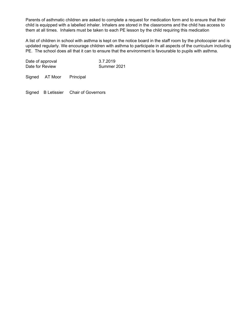Parents of asthmatic children are asked to complete a request for medication form and to ensure that their child is equipped with a labelled inhaler. Inhalers are stored in the classrooms and the child has access to them at all times. Inhalers must be taken to each PE lesson by the child requiring this medication

A list of children in school with asthma is kept on the notice board in the staff room by the photocopier and is updated regularly. We encourage children with asthma to participate in all aspects of the curriculum including PE. The school does all that it can to ensure that the environment is favourable to pupils with asthma.

Date of approval 3.7.2019 Date for Review Summer 2021

Signed AT Moor Principal

Signed B Letissier Chair of Governors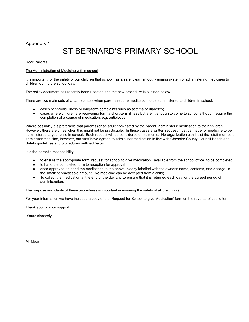#### Appendix 1

## ST BERNARD'S PRIMARY SCHOOL

Dear Parents

#### The Administration of Medicine within school

It is important for the safety of our children that school has a safe, clear, smooth-running system of administering medicines to children during the school day.

The policy document has recently been updated and the new procedure is outlined below.

There are two main sets of circumstances when parents require medication to be administered to children in school:

- cases of chronic illness or long-term complaints such as asthma or diabetes;
- cases where children are recovering form a short-term illness but are fit enough to come to school although require the completion of a course of medication, e.g. antibiotics

Where possible, it is preferable that parents (or an adult nominated by the parent) administers' medication to their children. However, there are times when this might not be practicable. In these cases a written request must be made for medicine to be administered to your child in school. Each request will be considered on its merits. No organization can insist that staff members administer medicine, however, our staff have agreed to administer medication in line with Cheshire County Council Health and Safety guidelines and procedures outlined below:

It is the parent's responsibility:

- to ensure the appropriate form 'request for school to give medication' (available from the school office) to be completed;
- to hand the completed form to reception for approval;
- once approved, to hand the medication to the above, clearly labelled with the owner's name, contents, and dosage, in the smallest practicable amount. No medicine can be accepted from a child;
- to collect the medication at the end of the day and to ensure that it is returned each day for the agreed period of administration.

The purpose and clarity of these procedures is important in ensuring the safety of all the children.

For your information we have included a copy of the 'Request for School to give Medication' form on the reverse of this letter.

Thank you for your support.

Yours sincerely

Mr Moor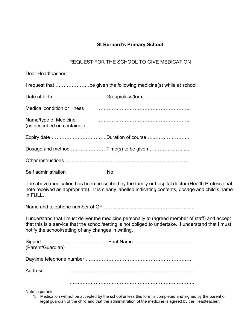#### **St Bernard's Primary School**

#### REQUEST FOR THE SCHOOL TO GIVE MEDICATION

Dear Headteacher,

| I request that be given the following medicine(s) while at school: |  |  |
|--------------------------------------------------------------------|--|--|
|                                                                    |  |  |

| Medical condition or illness                         |  |
|------------------------------------------------------|--|
| Name/type of Medicine<br>(as described on container) |  |
|                                                      |  |
|                                                      |  |
|                                                      |  |

Self administration No

The above medication has been prescribed by the family or hospital doctor (Health Professional note received as appropriate). It is clearly labelled indicating contents, dosage and child's name in FULL.

Name and telephone number of GP ……………………………………………….

I understand that I must deliver the medicine personally to (agreed member of staff) and accept that this is a service that the school/setting is not obliged to undertake. I understand that I must notify the school/setting of any changes in writing.

| (Parent/Guardian) |  |
|-------------------|--|
|                   |  |
| <b>Address</b>    |  |

…………………………………………………………………..

Note to parents:

1. Medication will not be accepted by the school unless this form is completed and signed by the parent or legal guardian of the child and that the administration of the medicine is agreed by the Headteacher.